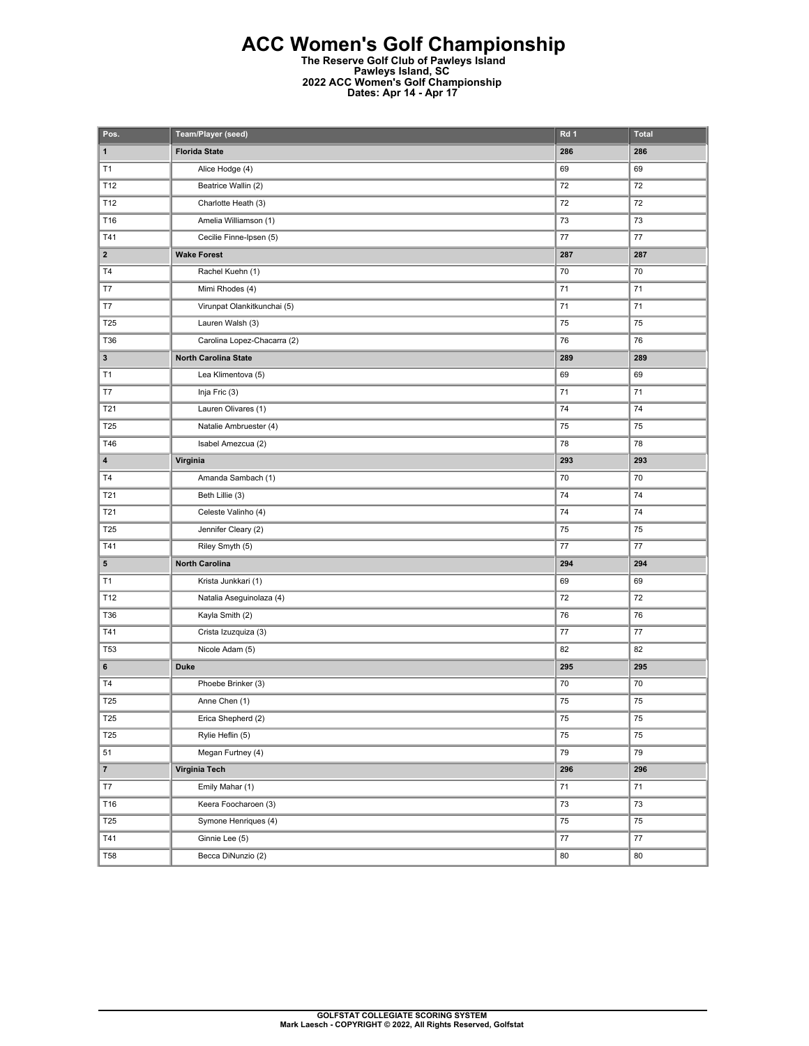## **ACC Women's Golf Championship**

**The Reserve Golf Club of Pawleys Island Pawleys Island, SC 2022 ACC Women's Golf Championship Dates: Apr 14 - Apr 17** 

| Pos.            | Team/Player (seed)          | Rd 1            | <b>Total</b> |
|-----------------|-----------------------------|-----------------|--------------|
| $\mathbf{1}$    | <b>Florida State</b>        | 286             | 286          |
| T1              | Alice Hodge (4)             | 69              | 69           |
| T12             | Beatrice Wallin (2)         | 72              | 72           |
| T12             | Charlotte Heath (3)         | 72              | 72           |
| T16             | Amelia Williamson (1)       | 73              | 73           |
| T41             | Cecilie Finne-Ipsen (5)     | 77              | 77           |
| $\mathbf{2}$    | <b>Wake Forest</b>          | 287             | 287          |
| T4              | Rachel Kuehn (1)            | 70              | 70           |
| T7              | Mimi Rhodes (4)             | 71              | 71           |
| T7              | Virunpat Olankitkunchai (5) | 71              | 71           |
| T25             | Lauren Walsh (3)            | 75              | 75           |
| T36             | Carolina Lopez-Chacarra (2) | 76              | 76           |
| $\mathbf 3$     | North Carolina State        | 289             | 289          |
| T1              | Lea Klimentova (5)          | 69              | 69           |
| T7              | Inja Fric (3)               | 71              | 71           |
| T21             | Lauren Olivares (1)         | 74              | 74           |
| T25             | Natalie Ambruester (4)      | 75              | 75           |
| T46             | Isabel Amezcua (2)          | 78              | 78           |
| 4               | Virginia                    | 293             | 293          |
| T4              | Amanda Sambach (1)          | 70              | 70           |
| T21             | Beth Lillie (3)             | 74              | 74           |
| T21             | Celeste Valinho (4)         | 74              | 74           |
| T25             | Jennifer Cleary (2)         | 75              | 75           |
| T41             | Riley Smyth (5)             | 77              | 77           |
| $5\phantom{.0}$ | North Carolina              | 294             | 294          |
| T1              | Krista Junkkari (1)         | 69              | 69           |
| T12             | Natalia Aseguinolaza (4)    | 72              | 72           |
| T36             | Kayla Smith (2)             | 76              | 76           |
| T41             | Crista Izuzquiza (3)        | 77              | 77           |
| T53             | Nicole Adam (5)             | 82              | 82           |
| 6               | <b>Duke</b>                 | 295             | 295          |
| <b>T4</b>       | Phoebe Brinker (3)          | 70              | 70           |
| T25             | Anne Chen (1)               | 75              | 75           |
| <b>T25</b>      | Erica Shepherd (2)          | $\overline{75}$ | 75           |
| T <sub>25</sub> | Rylie Heflin (5)            | 75              | 75           |
| 51              | Megan Furtney (4)           | 79              | 79           |
| $\overline{7}$  | Virginia Tech               | 296             | 296          |
| T7              | Emily Mahar (1)             | 71              | 71           |
| T16             | Keera Foocharoen (3)        | 73              | $73\,$       |
| T <sub>25</sub> | Symone Henriques (4)        | 75              | 75           |
| T41             | Ginnie Lee (5)              | 77              | $77\,$       |
| <b>T58</b>      | Becca DiNunzio (2)          | 80              | 80           |